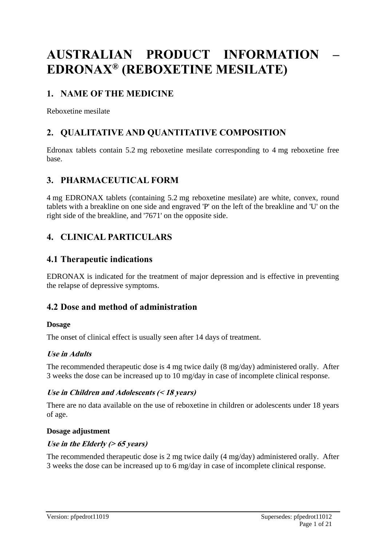# **AUSTRALIAN PRODUCT INFORMATION – EDRONAX® (REBOXETINE MESILATE)**

# **1. NAME OF THE MEDICINE**

Reboxetine mesilate

# **2. QUALITATIVE AND QUANTITATIVE COMPOSITION**

Edronax tablets contain 5.2 mg reboxetine mesilate corresponding to 4 mg reboxetine free base.

# **3. PHARMACEUTICAL FORM**

4 mg EDRONAX tablets (containing 5.2 mg reboxetine mesilate) are white, convex, round tablets with a breakline on one side and engraved 'P' on the left of the breakline and 'U' on the right side of the breakline, and '7671' on the opposite side.

# **4. CLINICAL PARTICULARS**

### **4.1 Therapeutic indications**

EDRONAX is indicated for the treatment of major depression and is effective in preventing the relapse of depressive symptoms.

# **4.2 Dose and method of administration**

#### **Dosage**

The onset of clinical effect is usually seen after 14 days of treatment.

#### **Use in Adults**

The recommended therapeutic dose is 4 mg twice daily (8 mg/day) administered orally. After 3 weeks the dose can be increased up to 10 mg/day in case of incomplete clinical response.

#### **Use in Children and Adolescents (< 18 years)**

There are no data available on the use of reboxetine in children or adolescents under 18 years of age.

#### **Dosage adjustment**

#### **Use in the Elderly (> 65 years)**

The recommended therapeutic dose is 2 mg twice daily (4 mg/day) administered orally. After 3 weeks the dose can be increased up to 6 mg/day in case of incomplete clinical response.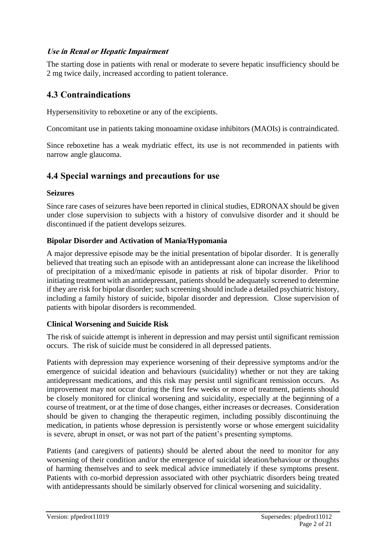#### **Use in Renal or Hepatic Impairment**

The starting dose in patients with renal or moderate to severe hepatic insufficiency should be 2 mg twice daily, increased according to patient tolerance.

# **4.3 Contraindications**

Hypersensitivity to reboxetine or any of the excipients.

Concomitant use in patients taking monoamine oxidase inhibitors (MAOIs) is contraindicated.

Since reboxetine has a weak mydriatic effect, its use is not recommended in patients with narrow angle glaucoma.

### **4.4 Special warnings and precautions for use**

#### **Seizures**

Since rare cases of seizures have been reported in clinical studies, EDRONAX should be given under close supervision to subjects with a history of convulsive disorder and it should be discontinued if the patient develops seizures.

#### **Bipolar Disorder and Activation of Mania/Hypomania**

A major depressive episode may be the initial presentation of bipolar disorder. It is generally believed that treating such an episode with an antidepressant alone can increase the likelihood of precipitation of a mixed/manic episode in patients at risk of bipolar disorder. Prior to initiating treatment with an antidepressant, patients should be adequately screened to determine if they are risk for bipolar disorder; such screening should include a detailed psychiatric history, including a family history of suicide, bipolar disorder and depression. Close supervision of patients with bipolar disorders is recommended.

#### **Clinical Worsening and Suicide Risk**

The risk of suicide attempt is inherent in depression and may persist until significant remission occurs. The risk of suicide must be considered in all depressed patients.

Patients with depression may experience worsening of their depressive symptoms and/or the emergence of suicidal ideation and behaviours (suicidality) whether or not they are taking antidepressant medications, and this risk may persist until significant remission occurs. As improvement may not occur during the first few weeks or more of treatment, patients should be closely monitored for clinical worsening and suicidality, especially at the beginning of a course of treatment, or at the time of dose changes, either increases or decreases. Consideration should be given to changing the therapeutic regimen, including possibly discontinuing the medication, in patients whose depression is persistently worse or whose emergent suicidality is severe, abrupt in onset, or was not part of the patient's presenting symptoms.

Patients (and caregivers of patients) should be alerted about the need to monitor for any worsening of their condition and/or the emergence of suicidal ideation/behaviour or thoughts of harming themselves and to seek medical advice immediately if these symptoms present. Patients with co-morbid depression associated with other psychiatric disorders being treated with antidepressants should be similarly observed for clinical worsening and suicidality.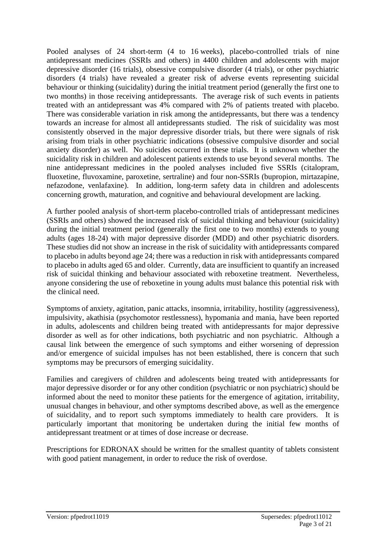Pooled analyses of 24 short-term (4 to 16 weeks), placebo-controlled trials of nine antidepressant medicines (SSRIs and others) in 4400 children and adolescents with major depressive disorder (16 trials), obsessive compulsive disorder (4 trials), or other psychiatric disorders (4 trials) have revealed a greater risk of adverse events representing suicidal behaviour or thinking (suicidality) during the initial treatment period (generally the first one to two months) in those receiving antidepressants. The average risk of such events in patients treated with an antidepressant was 4% compared with 2% of patients treated with placebo. There was considerable variation in risk among the antidepressants, but there was a tendency towards an increase for almost all antidepressants studied. The risk of suicidality was most consistently observed in the major depressive disorder trials, but there were signals of risk arising from trials in other psychiatric indications (obsessive compulsive disorder and social anxiety disorder) as well. No suicides occurred in these trials. It is unknown whether the suicidality risk in children and adolescent patients extends to use beyond several months. The nine antidepressant medicines in the pooled analyses included five SSRIs (citalopram, fluoxetine, fluvoxamine, paroxetine, sertraline) and four non-SSRIs (bupropion, mirtazapine, nefazodone, venlafaxine). In addition, long-term safety data in children and adolescents concerning growth, maturation, and cognitive and behavioural development are lacking.

A further pooled analysis of short-term placebo-controlled trials of antidepressant medicines (SSRIs and others) showed the increased risk of suicidal thinking and behaviour (suicidality) during the initial treatment period (generally the first one to two months) extends to young adults (ages 18-24) with major depressive disorder (MDD) and other psychiatric disorders. These studies did not show an increase in the risk of suicidality with antidepressants compared to placebo in adults beyond age 24; there was a reduction in risk with antidepressants compared to placebo in adults aged 65 and older. Currently, data are insufficient to quantify an increased risk of suicidal thinking and behaviour associated with reboxetine treatment. Nevertheless, anyone considering the use of reboxetine in young adults must balance this potential risk with the clinical need.

Symptoms of anxiety, agitation, panic attacks, insomnia, irritability, hostility (aggressiveness), impulsivity, akathisia (psychomotor restlessness), hypomania and mania, have been reported in adults, adolescents and children being treated with antidepressants for major depressive disorder as well as for other indications, both psychiatric and non psychiatric. Although a causal link between the emergence of such symptoms and either worsening of depression and/or emergence of suicidal impulses has not been established, there is concern that such symptoms may be precursors of emerging suicidality.

Families and caregivers of children and adolescents being treated with antidepressants for major depressive disorder or for any other condition (psychiatric or non psychiatric) should be informed about the need to monitor these patients for the emergence of agitation, irritability, unusual changes in behaviour, and other symptoms described above, as well as the emergence of suicidality, and to report such symptoms immediately to health care providers. It is particularly important that monitoring be undertaken during the initial few months of antidepressant treatment or at times of dose increase or decrease.

Prescriptions for EDRONAX should be written for the smallest quantity of tablets consistent with good patient management, in order to reduce the risk of overdose.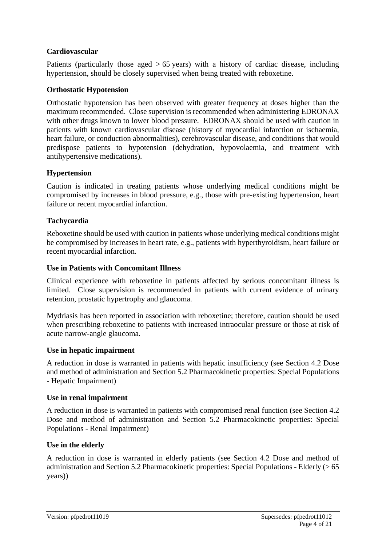#### **Cardiovascular**

Patients (particularly those aged  $> 65$  years) with a history of cardiac disease, including hypertension, should be closely supervised when being treated with reboxetine.

#### **Orthostatic Hypotension**

Orthostatic hypotension has been observed with greater frequency at doses higher than the maximum recommended. Close supervision is recommended when administering EDRONAX with other drugs known to lower blood pressure. EDRONAX should be used with caution in patients with known cardiovascular disease (history of myocardial infarction or ischaemia, heart failure, or conduction abnormalities), cerebrovascular disease, and conditions that would predispose patients to hypotension (dehydration, hypovolaemia, and treatment with antihypertensive medications).

#### **Hypertension**

Caution is indicated in treating patients whose underlying medical conditions might be compromised by increases in blood pressure, e.g., those with pre-existing hypertension, heart failure or recent myocardial infarction.

#### **Tachycardia**

Reboxetine should be used with caution in patients whose underlying medical conditions might be compromised by increases in heart rate, e.g., patients with hyperthyroidism, heart failure or recent myocardial infarction.

#### **Use in Patients with Concomitant Illness**

Clinical experience with reboxetine in patients affected by serious concomitant illness is limited. Close supervision is recommended in patients with current evidence of urinary retention, prostatic hypertrophy and glaucoma.

Mydriasis has been reported in association with reboxetine; therefore, caution should be used when prescribing reboxetine to patients with increased intraocular pressure or those at risk of acute narrow-angle glaucoma.

#### **Use in hepatic impairment**

A reduction in dose is warranted in patients with hepatic insufficiency (see Section 4.2 Dose and method of administration and Section 5.2 Pharmacokinetic properties: Special Populations - Hepatic Impairment)

#### **Use in renal impairment**

A reduction in dose is warranted in patients with compromised renal function (see Section 4.2 Dose and method of administration and Section 5.2 Pharmacokinetic properties: Special Populations - Renal Impairment)

#### **Use in the elderly**

A reduction in dose is warranted in elderly patients (see Section 4.2 Dose and method of administration and Section 5.2 Pharmacokinetic properties: Special Populations - Elderly (> 65 years))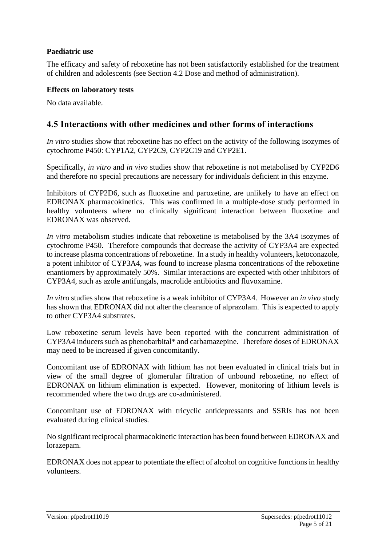#### **Paediatric use**

The efficacy and safety of reboxetine has not been satisfactorily established for the treatment of children and adolescents (see Section 4.2 Dose and method of administration).

#### **Effects on laboratory tests**

No data available.

### **4.5 Interactions with other medicines and other forms of interactions**

*In vitro* studies show that reboxetine has no effect on the activity of the following isozymes of cytochrome P450: CYP1A2, CYP2C9, CYP2C19 and CYP2E1.

Specifically, *in vitro* and *in vivo* studies show that reboxetine is not metabolised by CYP2D6 and therefore no special precautions are necessary for individuals deficient in this enzyme.

Inhibitors of CYP2D6, such as fluoxetine and paroxetine, are unlikely to have an effect on EDRONAX pharmacokinetics. This was confirmed in a multiple-dose study performed in healthy volunteers where no clinically significant interaction between fluoxetine and EDRONAX was observed.

*In vitro* metabolism studies indicate that reboxetine is metabolised by the 3A4 isozymes of cytochrome P450. Therefore compounds that decrease the activity of CYP3A4 are expected to increase plasma concentrations of reboxetine. In a study in healthy volunteers, ketoconazole, a potent inhibitor of CYP3A4, was found to increase plasma concentrations of the reboxetine enantiomers by approximately 50%. Similar interactions are expected with other inhibitors of CYP3A4, such as azole antifungals, macrolide antibiotics and fluvoxamine.

*In vitro* studies show that reboxetine is a weak inhibitor of CYP3A4. However an *in vivo* study has shown that EDRONAX did not alter the clearance of alprazolam. This is expected to apply to other CYP3A4 substrates.

Low reboxetine serum levels have been reported with the concurrent administration of CYP3A4 inducers such as phenobarbital\* and carbamazepine. Therefore doses of EDRONAX may need to be increased if given concomitantly.

Concomitant use of EDRONAX with lithium has not been evaluated in clinical trials but in view of the small degree of glomerular filtration of unbound reboxetine, no effect of EDRONAX on lithium elimination is expected. However, monitoring of lithium levels is recommended where the two drugs are co-administered.

Concomitant use of EDRONAX with tricyclic antidepressants and SSRIs has not been evaluated during clinical studies.

No significant reciprocal pharmacokinetic interaction has been found between EDRONAX and lorazepam.

EDRONAX does not appear to potentiate the effect of alcohol on cognitive functions in healthy volunteers.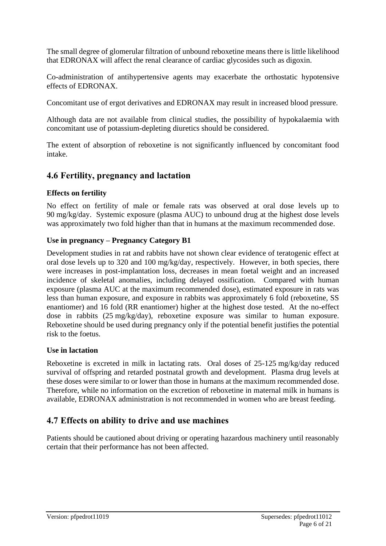The small degree of glomerular filtration of unbound reboxetine means there is little likelihood that EDRONAX will affect the renal clearance of cardiac glycosides such as digoxin.

Co-administration of antihypertensive agents may exacerbate the orthostatic hypotensive effects of EDRONAX.

Concomitant use of ergot derivatives and EDRONAX may result in increased blood pressure.

Although data are not available from clinical studies, the possibility of hypokalaemia with concomitant use of potassium-depleting diuretics should be considered.

The extent of absorption of reboxetine is not significantly influenced by concomitant food intake.

### **4.6 Fertility, pregnancy and lactation**

#### **Effects on fertility**

No effect on fertility of male or female rats was observed at oral dose levels up to 90 mg/kg/day. Systemic exposure (plasma AUC) to unbound drug at the highest dose levels was approximately two fold higher than that in humans at the maximum recommended dose.

#### **Use in pregnancy – Pregnancy Category B1**

Development studies in rat and rabbits have not shown clear evidence of teratogenic effect at oral dose levels up to 320 and 100 mg/kg/day, respectively. However, in both species, there were increases in post-implantation loss, decreases in mean foetal weight and an increased incidence of skeletal anomalies, including delayed ossification. Compared with human exposure (plasma AUC at the maximum recommended dose), estimated exposure in rats was less than human exposure, and exposure in rabbits was approximately 6 fold (reboxetine, SS enantiomer) and 16 fold (RR enantiomer) higher at the highest dose tested. At the no-effect dose in rabbits (25 mg/kg/day), reboxetine exposure was similar to human exposure. Reboxetine should be used during pregnancy only if the potential benefit justifies the potential risk to the foetus.

#### **Use in lactation**

Reboxetine is excreted in milk in lactating rats. Oral doses of 25-125 mg/kg/day reduced survival of offspring and retarded postnatal growth and development. Plasma drug levels at these doses were similar to or lower than those in humans at the maximum recommended dose. Therefore, while no information on the excretion of reboxetine in maternal milk in humans is available, EDRONAX administration is not recommended in women who are breast feeding.

### **4.7 Effects on ability to drive and use machines**

Patients should be cautioned about driving or operating hazardous machinery until reasonably certain that their performance has not been affected.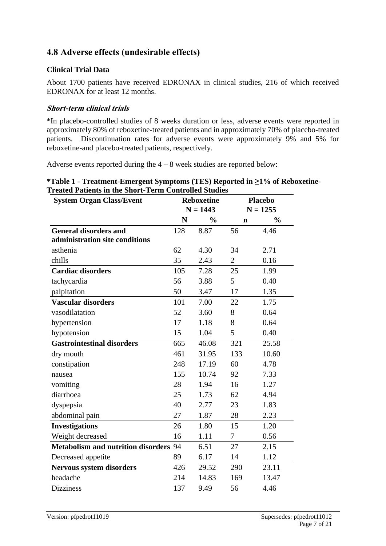# **4.8 Adverse effects (undesirable effects)**

#### **Clinical Trial Data**

About 1700 patients have received EDRONAX in clinical studies, 216 of which received EDRONAX for at least 12 months.

#### **Short-term clinical trials**

\*In placebo-controlled studies of 8 weeks duration or less, adverse events were reported in approximately 80% of reboxetine-treated patients and in approximately 70% of placebo-treated patients. Discontinuation rates for adverse events were approximately 9% and 5% for reboxetine-and placebo-treated patients, respectively.

Adverse events reported during the  $4 - 8$  week studies are reported below:

| <i>*Table 1 - Treatment-Emergent Symptoms (TES) Reported in <math>\geq</math>1% of Reboxetine-</i> |  |
|----------------------------------------------------------------------------------------------------|--|
| <b>Treated Patients in the Short-Term Controlled Studies</b>                                       |  |

| <b>System Organ Class/Event</b>              | <b>Reboxetine</b> |               | <b>Placebo</b> |               |
|----------------------------------------------|-------------------|---------------|----------------|---------------|
|                                              | $N = 1443$        |               |                | $N = 1255$    |
|                                              | N                 | $\frac{0}{0}$ | $\mathbf n$    | $\frac{0}{0}$ |
| <b>General disorders and</b>                 | 128               | 8.87          | 56             | 4.46          |
| administration site conditions               |                   |               |                |               |
| asthenia                                     | 62                | 4.30          | 34             | 2.71          |
| chills                                       | 35                | 2.43          | $\overline{2}$ | 0.16          |
| <b>Cardiac disorders</b>                     | 105               | 7.28          | 25             | 1.99          |
| tachycardia                                  | 56                | 3.88          | 5              | 0.40          |
| palpitation                                  | 50                | 3.47          | 17             | 1.35          |
| <b>Vascular disorders</b>                    | 101               | 7.00          | 22             | 1.75          |
| vasodilatation                               | 52                | 3.60          | 8              | 0.64          |
| hypertension                                 | 17                | 1.18          | 8              | 0.64          |
| hypotension                                  | 15                | 1.04          | 5              | 0.40          |
| <b>Gastrointestinal disorders</b>            | 665               | 46.08         | 321            | 25.58         |
| dry mouth                                    | 461               | 31.95         | 133            | 10.60         |
| constipation                                 | 248               | 17.19         | 60             | 4.78          |
| nausea                                       | 155               | 10.74         | 92             | 7.33          |
| vomiting                                     | 28                | 1.94          | 16             | 1.27          |
| diarrhoea                                    | 25                | 1.73          | 62             | 4.94          |
| dyspepsia                                    | 40                | 2.77          | 23             | 1.83          |
| abdominal pain                               | 27                | 1.87          | 28             | 2.23          |
| <b>Investigations</b>                        | 26                | 1.80          | 15             | 1.20          |
| Weight decreased                             | 16                | 1.11          | 7              | 0.56          |
| <b>Metabolism and nutrition disorders 94</b> |                   | 6.51          | 27             | 2.15          |
| Decreased appetite                           | 89                | 6.17          | 14             | 1.12          |
| <b>Nervous system disorders</b>              | 426               | 29.52         | 290            | 23.11         |
| headache                                     | 214               | 14.83         | 169            | 13.47         |
| <b>Dizziness</b>                             | 137               | 9.49          | 56             | 4.46          |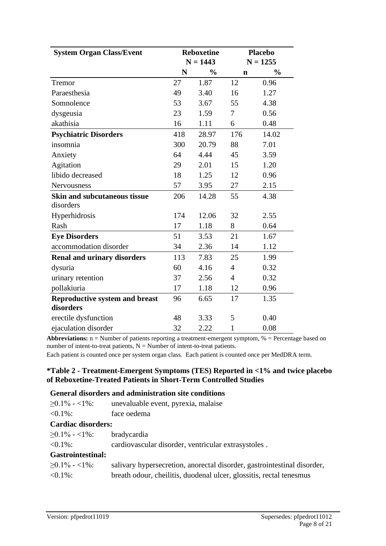| <b>System Organ Class/Event</b>       | <b>Reboxetine</b><br>$N = 1443$ |               |                | <b>Placebo</b><br>$N = 1255$ |
|---------------------------------------|---------------------------------|---------------|----------------|------------------------------|
|                                       | N                               | $\frac{0}{0}$ | $\mathbf n$    | $\frac{0}{0}$                |
| Tremor                                | 27                              | 1.87          | 12             | 0.96                         |
| Paraesthesia                          | 49                              | 3.40          | 16             | 1.27                         |
| Somnolence                            | 53                              | 3.67          | 55             | 4.38                         |
| dysgeusia                             | 23                              | 1.59          | 7              | 0.56                         |
| akathisia                             | 16                              | 1.11          | 6              | 0.48                         |
| <b>Psychiatric Disorders</b>          | 418                             | 28.97         | 176            | 14.02                        |
| insomnia                              | 300                             | 20.79         | 88             | 7.01                         |
| Anxiety                               | 64                              | 4.44          | 45             | 3.59                         |
| Agitation                             | 29                              | 2.01          | 15             | 1.20                         |
| libido decreased                      | 18                              | 1.25          | 12             | 0.96                         |
| Nervousness                           | 57                              | 3.95          | 27             | 2.15                         |
| <b>Skin and subcutaneous tissue</b>   | 206                             | 14.28         | 55             | 4.38                         |
| disorders                             |                                 |               |                |                              |
| Hyperhidrosis                         | 174                             | 12.06         | 32             | 2.55                         |
| Rash                                  | 17                              | 1.18          | 8              | 0.64                         |
| <b>Eye Disorders</b>                  | 51                              | 3.53          | 21             | 1.67                         |
| accommodation disorder                | 34                              | 2.36          | 14             | 1.12                         |
| <b>Renal and urinary disorders</b>    | 113                             | 7.83          | 25             | 1.99                         |
| dysuria                               | 60                              | 4.16          | $\overline{4}$ | 0.32                         |
| urinary retention                     | 37                              | 2.56          | $\overline{4}$ | 0.32                         |
| pollakiuria                           | 17                              | 1.18          | 12             | 0.96                         |
| <b>Reproductive system and breast</b> | 96                              | 6.65          | 17             | 1.35                         |
| disorders                             |                                 |               |                |                              |
| erectile dysfunction                  | 48                              | 3.33          | 5              | 0.40                         |
| ejaculation disorder                  | 32                              | 2.22          | 1              | 0.08                         |

**Abbreviations:** n = Number of patients reporting a treatment-emergent symptom, % = Percentage based on number of intent-to-treat patients,  $N =$  Number of intent-to-treat patients.

Each patient is counted once per system organ class. Each patient is counted once per MedDRA term.

#### **\*Table 2 - Treatment-Emergent Symptoms (TES) Reported in <1% and twice placebo of Reboxetine-Treated Patients in Short-Term Controlled Studies**

#### **General disorders and administration site conditions**

| $\geq 0.1\% - 1\%$ :             | unevaluable event, pyrexia, malaise                                     |
|----------------------------------|-------------------------------------------------------------------------|
| $< 0.1\%$ :                      | face oedema                                                             |
| <b>Cardiac disorders:</b>        |                                                                         |
| $\geq 0.1\% - 1\%$ : bradycardia |                                                                         |
| $\leq 0.1\%$ :                   | cardiovascular disorder, ventricular extrasystoles.                     |
| <b>Gastrointestinal:</b>         |                                                                         |
| $>0.1\% - 1\%$ :                 | salivary hypersecretion, anorectal disorder, gastrointestinal disorder, |
| $< 0.1\%$ :                      | breath odour, cheilitis, duodenal ulcer, glossitis, rectal tenesmus     |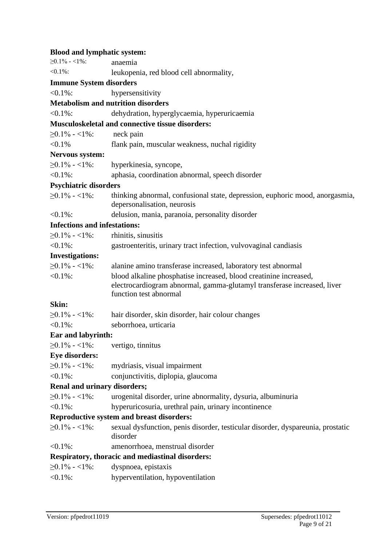| <b>Blood and lymphatic system:</b>  |                                                                                                                                                                        |
|-------------------------------------|------------------------------------------------------------------------------------------------------------------------------------------------------------------------|
| $\geq$ 0.1% - <1%:                  | anaemia                                                                                                                                                                |
| $< 0.1\%$ :                         | leukopenia, red blood cell abnormality,                                                                                                                                |
| <b>Immune System disorders</b>      |                                                                                                                                                                        |
| $< 0.1\%$ :                         | hypersensitivity                                                                                                                                                       |
|                                     | <b>Metabolism and nutrition disorders</b>                                                                                                                              |
| $< 0.1\%$ :                         | dehydration, hyperglycaemia, hyperuricaemia                                                                                                                            |
|                                     | Musculoskeletal and connective tissue disorders:                                                                                                                       |
| $\geq$ 0.1% - <1%:                  | neck pain                                                                                                                                                              |
| $< 0.1\%$                           | flank pain, muscular weakness, nuchal rigidity                                                                                                                         |
| Nervous system:                     |                                                                                                                                                                        |
| $\geq$ 0.1% - <1%:                  | hyperkinesia, syncope,                                                                                                                                                 |
| $< 0.1\%$ :                         | aphasia, coordination abnormal, speech disorder                                                                                                                        |
| <b>Psychiatric disorders</b>        |                                                                                                                                                                        |
| $\geq 0.1\% - 1\%$ :                | thinking abnormal, confusional state, depression, euphoric mood, anorgasmia,<br>depersonalisation, neurosis                                                            |
| $< 0.1\%$ :                         | delusion, mania, paranoia, personality disorder                                                                                                                        |
| <b>Infections and infestations:</b> |                                                                                                                                                                        |
| $\geq$ 0.1% - <1%:                  | rhinitis, sinusitis                                                                                                                                                    |
| $< 0.1\%$ :                         | gastroenteritis, urinary tract infection, vulvovaginal candiasis                                                                                                       |
| <b>Investigations:</b>              |                                                                                                                                                                        |
| $\geq$ 0.1% - <1%:                  | alanine amino transferase increased, laboratory test abnormal                                                                                                          |
| $< 0.1\%$ :                         | blood alkaline phosphatise increased, blood creatinine increased,<br>electrocardiogram abnormal, gamma-glutamyl transferase increased, liver<br>function test abnormal |
| Skin:                               |                                                                                                                                                                        |
| $\geq 0.1\% - 1\%$ :                | hair disorder, skin disorder, hair colour changes                                                                                                                      |
| $< 0.1\%$ :                         | seborrhoea, urticaria                                                                                                                                                  |
| <b>Ear and labyrinth:</b>           |                                                                                                                                                                        |
| $\geq$ 0.1% - <1%:                  | vertigo, tinnitus                                                                                                                                                      |
| <b>Eye disorders:</b>               |                                                                                                                                                                        |
| $\geq$ 0.1% - <1%:                  | mydriasis, visual impairment                                                                                                                                           |
| $< 0.1\%$ :                         | conjunctivitis, diplopia, glaucoma                                                                                                                                     |
| <b>Renal and urinary disorders;</b> |                                                                                                                                                                        |
| $\geq$ 0.1% - <1%:                  | urogenital disorder, urine abnormality, dysuria, albuminuria                                                                                                           |
| $< 0.1\%$ :                         | hyperuricosuria, urethral pain, urinary incontinence                                                                                                                   |
|                                     | <b>Reproductive system and breast disorders:</b>                                                                                                                       |
| $\geq$ 0.1% - <1%:                  | sexual dysfunction, penis disorder, testicular disorder, dyspareunia, prostatic<br>disorder                                                                            |
| $<$ 0.1%:                           | amenorrhoea, menstrual disorder                                                                                                                                        |
|                                     | <b>Respiratory, thoracic and mediastinal disorders:</b>                                                                                                                |
| $\geq$ 0.1% - <1%:                  | dyspnoea, epistaxis                                                                                                                                                    |
| $< 0.1\%$ :                         | hyperventilation, hypoventilation                                                                                                                                      |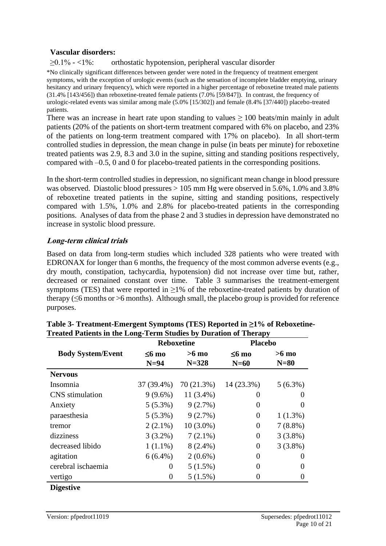#### **Vascular disorders:**

≥0.1% - <1%: orthostatic hypotension, peripheral vascular disorder

\*No clinically significant differences between gender were noted in the frequency of treatment emergent symptoms, with the exception of urologic events (such as the sensation of incomplete bladder emptying, urinary hesitancy and urinary frequency), which were reported in a higher percentage of reboxetine treated male patients (31.4% [143/456]) than reboxetine-treated female patients (7.0% [59/847]). In contrast, the frequency of urologic-related events was similar among male (5.0% [15/302]) and female (8.4% [37/440]) placebo-treated patients.

There was an increase in heart rate upon standing to values  $\geq 100$  beats/min mainly in adult patients (20% of the patients on short-term treatment compared with 6% on placebo, and 23% of the patients on long-term treatment compared with 17% on placebo). In all short-term controlled studies in depression, the mean change in pulse (in beats per minute) for reboxetine treated patients was 2.9, 8.3 and 3.0 in the supine, sitting and standing positions respectively, compared with –0.5, 0 and 0 for placebo-treated patients in the corresponding positions.

In the short-term controlled studies in depression, no significant mean change in blood pressure was observed. Diastolic blood pressures > 105 mm Hg were observed in 5.6%, 1.0% and 3.8% of reboxetine treated patients in the supine, sitting and standing positions, respectively compared with 1.5%, 1.0% and 2.8% for placebo-treated patients in the corresponding positions. Analyses of data from the phase 2 and 3 studies in depression have demonstrated no increase in systolic blood pressure.

#### **Long-term clinical trials**

Based on data from long-term studies which included 328 patients who were treated with EDRONAX for longer than 6 months, the frequency of the most common adverse events (e.g., dry mouth, constipation, tachycardia, hypotension) did not increase over time but, rather, decreased or remained constant over time. Table 3 summarises the treatment-emergent symptoms (TES) that were reported in  $\geq$ 1% of the reboxetine-treated patients by duration of therapy (≤6 months or >6 months). Although small, the placebo group is provided for reference purposes.

| $\leq 6$ mo<br>$N=94$<br>37 (39.4%)<br>$9(9.6\%)$ | $>6$ mo<br>$N = 328$<br>70 (21.3%) | $\leq 6$ mo<br>$N=60$<br>14 (23.3%) | $>6$ mo<br>$N=80$ |
|---------------------------------------------------|------------------------------------|-------------------------------------|-------------------|
|                                                   |                                    |                                     | $5(6.3\%)$        |
|                                                   |                                    |                                     |                   |
|                                                   |                                    |                                     |                   |
|                                                   | $11(3.4\%)$                        | O                                   |                   |
| $5(5.3\%)$                                        | 9(2.7%)                            | 0                                   |                   |
| $5(5.3\%)$                                        | 9(2.7%)                            | 0                                   | $1(1.3\%)$        |
| $2(2.1\%)$                                        | $10(3.0\%)$                        | 0                                   | $7(8.8\%)$        |
| $3(3.2\%)$                                        | $7(2.1\%)$                         | 0                                   | $3(3.8\%)$        |
| $1(1.1\%)$                                        | $8(2.4\%)$                         | 0                                   | $3(3.8\%)$        |
| $6(6.4\%)$                                        | $2(0.6\%)$                         | 0                                   | $\mathbf{\Omega}$ |
| 0                                                 | $5(1.5\%)$                         | 0                                   | 0                 |
| 0                                                 | $5(1.5\%)$                         | 0                                   | 0                 |
|                                                   |                                    |                                     |                   |

| Table 3- Treatment-Emergent Symptoms (TES) Reported in $\geq$ 1% of Reboxetine- |
|---------------------------------------------------------------------------------|
| Treated Patients in the Long-Term Studies by Duration of Therapy                |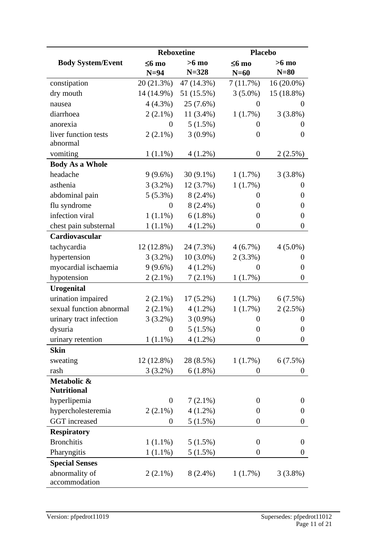|                                   |                  | <b>Reboxetine</b> | <b>Placebo</b>   |                  |
|-----------------------------------|------------------|-------------------|------------------|------------------|
| <b>Body System/Event</b>          | $\leq 6$ mo      | $>6$ mo           | $\leq 6$ mo      | $>6$ mo          |
|                                   | $N=94$           | $N = 328$         | $N=60$           | $N=80$           |
| constipation                      | 20 (21.3%)       | 47 (14.3%)        | 7(11.7%)         | $16(20.0\%)$     |
| dry mouth                         | $14(14.9\%)$     | 51 (15.5%)        | $3(5.0\%)$       | 15 (18.8%)       |
| nausea                            | $4(4.3\%)$       | 25(7.6%)          | $\overline{0}$   | $\boldsymbol{0}$ |
| diarrhoea                         | $2(2.1\%)$       | $11(3.4\%)$       | 1(1.7%)          | $3(3.8\%)$       |
| anorexia                          | $\theta$         | $5(1.5\%)$        | $\theta$         | $\overline{0}$   |
| liver function tests              | $2(2.1\%)$       | $3(0.9\%)$        | $\overline{0}$   | $\overline{0}$   |
| abnormal                          |                  |                   |                  |                  |
| vomiting                          | $1(1.1\%)$       | $4(1.2\%)$        | $\boldsymbol{0}$ | 2(2.5%)          |
| <b>Body As a Whole</b>            |                  |                   |                  |                  |
| headache                          | $9(9.6\%)$       | $30(9.1\%)$       | 1(1.7%)          | $3(3.8\%)$       |
| asthenia                          | $3(3.2\%)$       | 12(3.7%)          | 1(1.7%)          | $\theta$         |
| abdominal pain                    | $5(5.3\%)$       | $8(2.4\%)$        | $\boldsymbol{0}$ | $\theta$         |
| flu syndrome                      | $\theta$         | $8(2.4\%)$        | $\overline{0}$   | $\theta$         |
| infection viral                   | $1(1.1\%)$       | $6(1.8\%)$        | $\boldsymbol{0}$ | $\theta$         |
| chest pain substernal             | $1(1.1\%)$       | $4(1.2\%)$        | $\boldsymbol{0}$ | $\theta$         |
| Cardiovascular                    |                  |                   |                  |                  |
| tachycardia                       | $12(12.8\%)$     | 24 (7.3%)         | 4(6.7%)          | $4(5.0\%)$       |
| hypertension                      | $3(3.2\%)$       | $10(3.0\%)$       | $2(3.3\%)$       | $\overline{0}$   |
| myocardial ischaemia              | $9(9.6\%)$       | $4(1.2\%)$        | $\overline{0}$   | $\theta$         |
| hypotension                       | $2(2.1\%)$       | $7(2.1\%)$        | 1(1.7%)          | $\boldsymbol{0}$ |
| <b>Urogenital</b>                 |                  |                   |                  |                  |
| urination impaired                | $2(2.1\%)$       | $17(5.2\%)$       | 1(1.7%)          | 6(7.5%)          |
| sexual function abnormal          | $2(2.1\%)$       | $4(1.2\%)$        | 1(1.7%)          | 2(2.5%)          |
| urinary tract infection           | $3(3.2\%)$       | $3(0.9\%)$        | $\boldsymbol{0}$ | $\overline{0}$   |
| dysuria                           | $\boldsymbol{0}$ | $5(1.5\%)$        | $\boldsymbol{0}$ | $\boldsymbol{0}$ |
| urinary retention                 | $1(1.1\%)$       | $4(1.2\%)$        | $\boldsymbol{0}$ | $\theta$         |
| <b>Skin</b>                       |                  |                   |                  |                  |
| sweating                          | 12 (12.8%)       | 28 (8.5%)         | 1(1.7%)          | 6(7.5%)          |
| rash                              | $3(3.2\%)$       | $6(1.8\%)$        | $\boldsymbol{0}$ | $\boldsymbol{0}$ |
| Metabolic &<br><b>Nutritional</b> |                  |                   |                  |                  |
| hyperlipemia                      | $\overline{0}$   | $7(2.1\%)$        | $\overline{0}$   | $\boldsymbol{0}$ |
| hypercholesteremia                | $2(2.1\%)$       | $4(1.2\%)$        | $\overline{0}$   | $\boldsymbol{0}$ |
| GGT increased                     | $\boldsymbol{0}$ | 5(1.5%)           | $\boldsymbol{0}$ | $\boldsymbol{0}$ |
| <b>Respiratory</b>                |                  |                   |                  |                  |
| <b>Bronchitis</b>                 | $1(1.1\%)$       | 5(1.5%)           | $\boldsymbol{0}$ | $\boldsymbol{0}$ |
| Pharyngitis                       | $1(1.1\%)$       | 5(1.5%)           | $\boldsymbol{0}$ | $\boldsymbol{0}$ |
| <b>Special Senses</b>             |                  |                   |                  |                  |
| abnormality of                    | $2(2.1\%)$       | $8(2.4\%)$        | 1(1.7%)          | $3(3.8\%)$       |
| accommodation                     |                  |                   |                  |                  |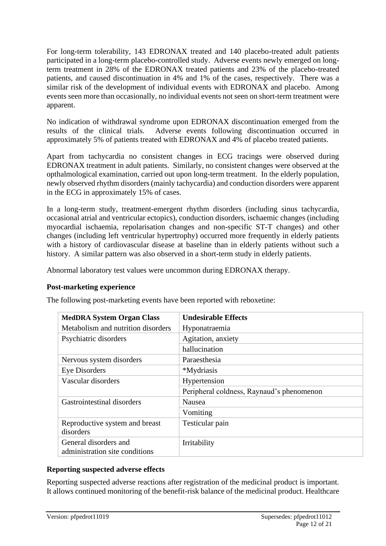For long-term tolerability, 143 EDRONAX treated and 140 placebo-treated adult patients participated in a long-term placebo-controlled study. Adverse events newly emerged on longterm treatment in 28% of the EDRONAX treated patients and 23% of the placebo-treated patients, and caused discontinuation in 4% and 1% of the cases, respectively. There was a similar risk of the development of individual events with EDRONAX and placebo. Among events seen more than occasionally, no individual events not seen on short-term treatment were apparent.

No indication of withdrawal syndrome upon EDRONAX discontinuation emerged from the results of the clinical trials. Adverse events following discontinuation occurred in approximately 5% of patients treated with EDRONAX and 4% of placebo treated patients.

Apart from tachycardia no consistent changes in ECG tracings were observed during EDRONAX treatment in adult patients. Similarly, no consistent changes were observed at the opthalmological examination, carried out upon long-term treatment. In the elderly population, newly observed rhythm disorders (mainly tachycardia) and conduction disorders were apparent in the ECG in approximately 15% of cases.

In a long-term study, treatment-emergent rhythm disorders (including sinus tachycardia, occasional atrial and ventricular ectopics), conduction disorders, ischaemic changes (including myocardial ischaemia, repolarisation changes and non-specific ST-T changes) and other changes (including left ventricular hypertrophy) occurred more frequently in elderly patients with a history of cardiovascular disease at baseline than in elderly patients without such a history. A similar pattern was also observed in a short-term study in elderly patients.

Abnormal laboratory test values were uncommon during EDRONAX therapy.

#### **Post-marketing experience**

The following post-marketing events have been reported with reboxetine:

| <b>MedDRA System Organ Class</b>   | <b>Undesirable Effects</b>                |
|------------------------------------|-------------------------------------------|
| Metabolism and nutrition disorders | Hyponatraemia                             |
| Psychiatric disorders              | Agitation, anxiety                        |
|                                    | hallucination                             |
| Nervous system disorders           | Paraesthesia                              |
| Eye Disorders                      | *Mydriasis                                |
| Vascular disorders                 | Hypertension                              |
|                                    | Peripheral coldness, Raynaud's phenomenon |
| Gastrointestinal disorders         | Nausea                                    |
|                                    | Vomiting                                  |
| Reproductive system and breast     | Testicular pain                           |
| disorders                          |                                           |
| General disorders and              | Irritability                              |
| administration site conditions     |                                           |

#### **Reporting suspected adverse effects**

Reporting suspected adverse reactions after registration of the medicinal product is important. It allows continued monitoring of the benefit-risk balance of the medicinal product. Healthcare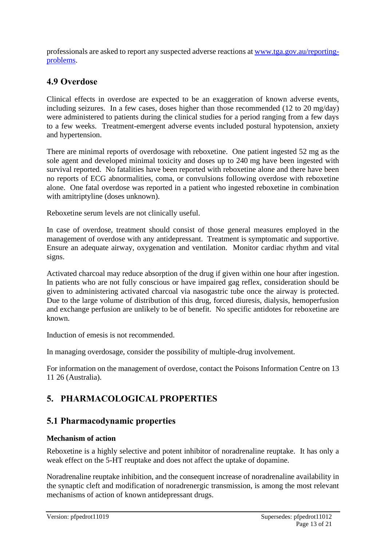professionals are asked to report any suspected adverse reactions at [www.tga.gov.au/reporting](http://www.tga.gov.au/reporting-problems)[problems.](http://www.tga.gov.au/reporting-problems)

# **4.9 Overdose**

Clinical effects in overdose are expected to be an exaggeration of known adverse events, including seizures. In a few cases, doses higher than those recommended (12 to 20 mg/day) were administered to patients during the clinical studies for a period ranging from a few days to a few weeks. Treatment-emergent adverse events included postural hypotension, anxiety and hypertension.

There are minimal reports of overdosage with reboxetine. One patient ingested 52 mg as the sole agent and developed minimal toxicity and doses up to 240 mg have been ingested with survival reported. No fatalities have been reported with reboxetine alone and there have been no reports of ECG abnormalities, coma, or convulsions following overdose with reboxetine alone. One fatal overdose was reported in a patient who ingested reboxetine in combination with amitriptyline (doses unknown).

Reboxetine serum levels are not clinically useful.

In case of overdose, treatment should consist of those general measures employed in the management of overdose with any antidepressant. Treatment is symptomatic and supportive. Ensure an adequate airway, oxygenation and ventilation. Monitor cardiac rhythm and vital signs.

Activated charcoal may reduce absorption of the drug if given within one hour after ingestion. In patients who are not fully conscious or have impaired gag reflex, consideration should be given to administering activated charcoal via nasogastric tube once the airway is protected. Due to the large volume of distribution of this drug, forced diuresis, dialysis, hemoperfusion and exchange perfusion are unlikely to be of benefit. No specific antidotes for reboxetine are known.

Induction of emesis is not recommended.

In managing overdosage, consider the possibility of multiple-drug involvement.

For information on the management of overdose, contact the Poisons Information Centre on 13 11 26 (Australia).

# **5. PHARMACOLOGICAL PROPERTIES**

# **5.1 Pharmacodynamic properties**

#### **Mechanism of action**

Reboxetine is a highly selective and potent inhibitor of noradrenaline reuptake. It has only a weak effect on the 5-HT reuptake and does not affect the uptake of dopamine.

Noradrenaline reuptake inhibition, and the consequent increase of noradrenaline availability in the synaptic cleft and modification of noradrenergic transmission, is among the most relevant mechanisms of action of known antidepressant drugs.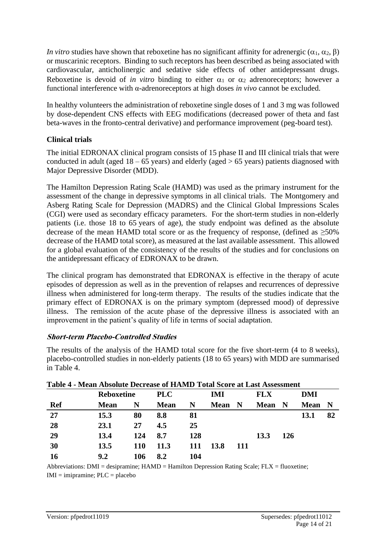*In vitro* studies have shown that reboxetine has no significant affinity for adrenergic ( $\alpha_1$ ,  $\alpha_2$ ,  $\beta$ ) or muscarinic receptors. Binding to such receptors has been described as being associated with cardiovascular, anticholinergic and sedative side effects of other antidepressant drugs. Reboxetine is devoid of *in vitro* binding to either  $\alpha_1$  or  $\alpha_2$  adrenoreceptors; however a functional interference with α-adrenoreceptors at high doses *in vivo* cannot be excluded.

In healthy volunteers the administration of reboxetine single doses of 1 and 3 mg was followed by dose-dependent CNS effects with EEG modifications (decreased power of theta and fast beta-waves in the fronto-central derivative) and performance improvement (peg-board test).

#### **Clinical trials**

The initial EDRONAX clinical program consists of 15 phase II and III clinical trials that were conducted in adult (aged  $18 - 65$  years) and elderly (aged  $> 65$  years) patients diagnosed with Major Depressive Disorder (MDD).

The Hamilton Depression Rating Scale (HAMD) was used as the primary instrument for the assessment of the change in depressive symptoms in all clinical trials. The Montgomery and Asberg Rating Scale for Depression (MADRS) and the Clinical Global Impressions Scales (CGI) were used as secondary efficacy parameters. For the short-term studies in non-elderly patients (i.e. those 18 to 65 years of age), the study endpoint was defined as the absolute decrease of the mean HAMD total score or as the frequency of response, (defined as  $\geq 50\%$ ) decrease of the HAMD total score), as measured at the last available assessment. This allowed for a global evaluation of the consistency of the results of the studies and for conclusions on the antidepressant efficacy of EDRONAX to be drawn.

The clinical program has demonstrated that EDRONAX is effective in the therapy of acute episodes of depression as well as in the prevention of relapses and recurrences of depressive illness when administered for long-term therapy. The results of the studies indicate that the primary effect of EDRONAX is on the primary symptom (depressed mood) of depressive illness. The remission of the acute phase of the depressive illness is associated with an improvement in the patient's quality of life in terms of social adaptation.

#### **Short-term Placebo-Controlled Studies**

The results of the analysis of the HAMD total score for the five short-term (4 to 8 weeks), placebo-controlled studies in non-elderly patients (18 to 65 years) with MDD are summarised in Table 4.

|            | Table 4 - Mean Absolute Decrease of HAMD Total Score at Last Assessment |            |             |     |             |             |             |     |             |     |
|------------|-------------------------------------------------------------------------|------------|-------------|-----|-------------|-------------|-------------|-----|-------------|-----|
|            | <b>Reboxetine</b>                                                       |            | <b>PLC</b>  |     | IMI         |             | <b>FLX</b>  |     | DMI         |     |
| <b>Ref</b> | <b>Mean</b>                                                             | N          | <b>Mean</b> | N   | <b>Mean</b> | $\mathbf N$ | <b>Mean</b> | N   | <b>Mean</b> | - N |
| 27         | 15.3                                                                    | 80         | 8.8         | 81  |             |             |             |     | 13.1        | 82  |
| 28         | 23.1                                                                    | 27         | 4.5         | 25  |             |             |             |     |             |     |
| 29         | 13.4                                                                    | 124        | 8.7         | 128 |             |             | 13.3        | 126 |             |     |
| 30         | 13.5                                                                    | <b>110</b> | 11.3        | 111 | <b>13.8</b> | 111         |             |     |             |     |
| 16         | 9.2                                                                     | 106        | 8.2         | 104 |             |             |             |     |             |     |

Abbreviations: DMI = desipramine; HAMD = Hamilton Depression Rating Scale; FLX = fluoxetine;  $IMI = impramine; PLC = placebo$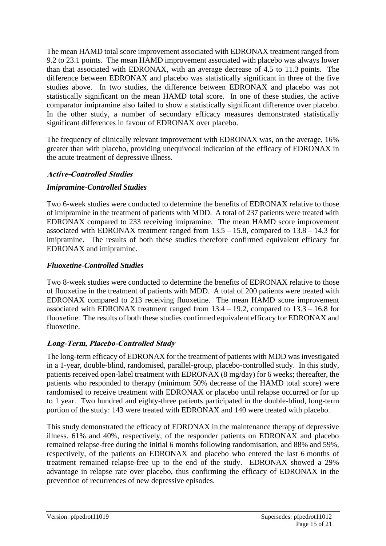The mean HAMD total score improvement associated with EDRONAX treatment ranged from 9.2 to 23.1 points. The mean HAMD improvement associated with placebo was always lower than that associated with EDRONAX, with an average decrease of 4.5 to 11.3 points. The difference between EDRONAX and placebo was statistically significant in three of the five studies above. In two studies, the difference between EDRONAX and placebo was not statistically significant on the mean HAMD total score. In one of these studies, the active comparator imipramine also failed to show a statistically significant difference over placebo. In the other study, a number of secondary efficacy measures demonstrated statistically significant differences in favour of EDRONAX over placebo.

The frequency of clinically relevant improvement with EDRONAX was, on the average, 16% greater than with placebo, providing unequivocal indication of the efficacy of EDRONAX in the acute treatment of depressive illness.

#### **Active-Controlled Studies**

#### *Imipramine-Controlled Studies*

Two 6-week studies were conducted to determine the benefits of EDRONAX relative to those of imipramine in the treatment of patients with MDD. A total of 237 patients were treated with EDRONAX compared to 233 receiving imipramine. The mean HAMD score improvement associated with EDRONAX treatment ranged from  $13.5 - 15.8$ , compared to  $13.8 - 14.3$  for imipramine. The results of both these studies therefore confirmed equivalent efficacy for EDRONAX and imipramine.

#### *Fluoxetine-Controlled Studies*

Two 8-week studies were conducted to determine the benefits of EDRONAX relative to those of fluoxetine in the treatment of patients with MDD. A total of 200 patients were treated with EDRONAX compared to 213 receiving fluoxetine. The mean HAMD score improvement associated with EDRONAX treatment ranged from  $13.4 - 19.2$ , compared to  $13.3 - 16.8$  for fluoxetine. The results of both these studies confirmed equivalent efficacy for EDRONAX and fluoxetine.

#### **Long-Term, Placebo-Controlled Study**

The long-term efficacy of EDRONAX for the treatment of patients with MDD was investigated in a 1-year, double-blind, randomised, parallel-group, placebo-controlled study. In this study, patients received open-label treatment with EDRONAX (8 mg/day) for 6 weeks; thereafter, the patients who responded to therapy (minimum 50% decrease of the HAMD total score) were randomised to receive treatment with EDRONAX or placebo until relapse occurred or for up to 1 year. Two hundred and eighty-three patients participated in the double-blind, long-term portion of the study: 143 were treated with EDRONAX and 140 were treated with placebo.

This study demonstrated the efficacy of EDRONAX in the maintenance therapy of depressive illness. 61% and 40%, respectively, of the responder patients on EDRONAX and placebo remained relapse-free during the initial 6 months following randomisation, and 88% and 59%, respectively, of the patients on EDRONAX and placebo who entered the last 6 months of treatment remained relapse-free up to the end of the study. EDRONAX showed a 29% advantage in relapse rate over placebo, thus confirming the efficacy of EDRONAX in the prevention of recurrences of new depressive episodes.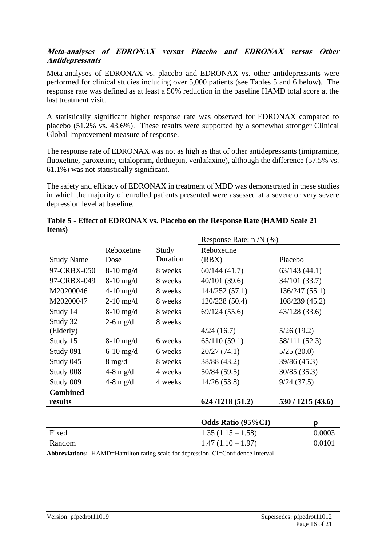#### **Meta-analyses of EDRONAX versus Placebo and EDRONAX versus Other Antidepressants**

Meta-analyses of EDRONAX vs. placebo and EDRONAX vs. other antidepressants were performed for clinical studies including over 5,000 patients (see Tables 5 and 6 below). The response rate was defined as at least a 50% reduction in the baseline HAMD total score at the last treatment visit.

A statistically significant higher response rate was observed for EDRONAX compared to placebo (51.2% vs. 43.6%). These results were supported by a somewhat stronger Clinical Global Improvement measure of response.

The response rate of EDRONAX was not as high as that of other antidepressants (imipramine, fluoxetine, paroxetine, citalopram, dothiepin, venlafaxine), although the difference (57.5% vs. 61.1%) was not statistically significant.

The safety and efficacy of EDRONAX in treatment of MDD was demonstrated in these studies in which the majority of enrolled patients presented were assessed at a severe or very severe depression level at baseline.

|                   |                  |          | Response Rate: $n/N$ (%)                                                        |                   |
|-------------------|------------------|----------|---------------------------------------------------------------------------------|-------------------|
|                   | Reboxetine       | Study    | Reboxetine                                                                      |                   |
| <b>Study Name</b> | Dose             | Duration | (RBX)                                                                           | Placebo           |
| 97-CRBX-050       | $8-10$ mg/d      | 8 weeks  | 60/144(41.7)                                                                    | 63/143(44.1)      |
| 97-CRBX-049       | $8-10$ mg/d      | 8 weeks  | 40/101(39.6)                                                                    | 34/101 (33.7)     |
| M20200046         | $4-10$ mg/d      | 8 weeks  | 144/252 (57.1)                                                                  | 136/247 (55.1)    |
| M20200047         | $2-10$ mg/d      | 8 weeks  | 120/238 (50.4)                                                                  | 108/239 (45.2)    |
| Study 14          | $8-10$ mg/d      | 8 weeks  | 69/124(55.6)                                                                    | 43/128(33.6)      |
| Study 32          | $2-6$ mg/d       | 8 weeks  |                                                                                 |                   |
| (Elderly)         |                  |          | 4/24(16.7)                                                                      | 5/26(19.2)        |
| Study 15          | $8-10$ mg/d      | 6 weeks  | 65/110(59.1)                                                                    | 58/111 (52.3)     |
| Study 091         | $6-10$ mg/d      | 6 weeks  | 20/27(74.1)                                                                     | 5/25(20.0)        |
| Study 045         | $8 \text{ mg/d}$ | 8 weeks  | 38/88 (43.2)                                                                    | 39/86 (45.3)      |
| Study 008         | $4-8$ mg/d       | 4 weeks  | 50/84 (59.5)                                                                    | 30/85 (35.3)      |
| Study 009         | $4-8$ mg/d       | 4 weeks  | 14/26 (53.8)                                                                    | 9/24(37.5)        |
| <b>Combined</b>   |                  |          |                                                                                 |                   |
| results           |                  |          | 624/1218 (51.2)                                                                 | 530 / 1215 (43.6) |
|                   |                  |          |                                                                                 |                   |
|                   |                  |          | <b>Odds Ratio (95%CI)</b>                                                       | p                 |
| Fixed             |                  |          | $1.35(1.15 - 1.58)$                                                             | 0.0003            |
| Random            |                  |          | $1.47(1.10 - 1.97)$                                                             | 0.0101            |
|                   |                  |          | Abbreviations: HAMD-Hamilton rating scale for depression CI-Confidence Interval |                   |

| Table 5 - Effect of EDRONAX vs. Placebo on the Response Rate (HAMD Scale 21) |  |
|------------------------------------------------------------------------------|--|
| Items)                                                                       |  |

**Abbreviations:** HAMD=Hamilton rating scale for depression, CI=Confidence Interval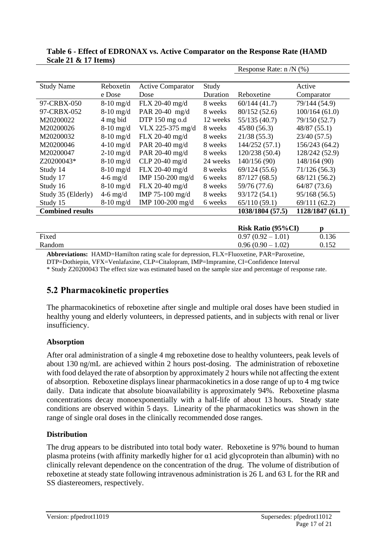|                         |             |                          |          | Response Rate: $n/N$ (%) |                 |
|-------------------------|-------------|--------------------------|----------|--------------------------|-----------------|
|                         |             |                          |          |                          |                 |
| <b>Study Name</b>       | Reboxetin   | <b>Active Comparator</b> | Study    |                          | Active          |
|                         | e Dose      | Dose                     | Duration | Reboxetine               | Comparator      |
| 97-CRBX-050             | $8-10$ mg/d | FLX 20-40 mg/d           | 8 weeks  | 60/144(41.7)             | 79/144 (54.9)   |
| 97-CRBX-052             | $8-10$ mg/d | PAR 20-40 mg/d           | 8 weeks  | 80/152 (52.6)            | 100/164(61.0)   |
| M20200022               | 4 mg bid    | DTP 150 mg o.d           | 12 weeks | 55/135 (40.7)            | 79/150 (52.7)   |
| M20200026               | $8-10$ mg/d | VLX 225-375 mg/d         | 8 weeks  | 45/80(56.3)              | 48/87(55.1)     |
| M20200032               | $8-10$ mg/d | FLX 20-40 mg/d           | 8 weeks  | 21/38(55.3)              | 23/40 (57.5)    |
| M20200046               | $4-10$ mg/d | PAR 20-40 mg/d           | 8 weeks  | 144/252 (57.1)           | 156/243 (64.2)  |
| M20200047               | $2-10$ mg/d | PAR 20-40 mg/d           | 8 weeks  | 120/238 (50.4)           | 128/242 (52.9)  |
| Z20200043*              | $8-10$ mg/d | CLP 20-40 $mg/d$         | 24 weeks | 140/156 (90)             | 148/164 (90)    |
| Study 14                | $8-10$ mg/d | FLX 20-40 mg/d           | 8 weeks  | 69/124(55.6)             | 71/126(56.3)    |
| Study 17                | $4-6$ mg/d  | IMP 150-200 mg/d         | 6 weeks  | 87/127(68.5)             | 68/121 (56.2)   |
| Study 16                | $8-10$ mg/d | FLX 20-40 mg/d           | 8 weeks  | 59/76 (77.6)             | 64/87 (73.6)    |
| Study 35 (Elderly)      | $4-6$ mg/d  | IMP 75-100 mg/d          | 8 weeks  | 93/172 (54.1)            | 95/168(56.5)    |
| Study 15                | $8-10$ mg/d | IMP 100-200 mg/d         | 6 weeks  | 65/110(59.1)             | 69/111 (62.2)   |
| <b>Combined results</b> |             |                          |          | 1038/1804 (57.5)         | 1128/1847(61.1) |
|                         |             |                          |          |                          |                 |

#### **Table 6 - Effect of EDRONAX vs. Active Comparator on the Response Rate (HAMD Scale 21 & 17 Items)**

|        | <b>Risk Ratio (95%CI)</b> |       |
|--------|---------------------------|-------|
| Fixed  | $0.97(0.92-1.01)$         | 0.136 |
| Random | $0.96(0.90-1.02)$         | 0.152 |

**Abbreviations:** HAMD=Hamilton rating scale for depression, FLX=Fluoxetine, PAR=Paroxetine,

DTP=Dothiepin, VFX=Venlafaxine, CLP=Citalopram, IMP=Impramine, CI=Confidence Interval

\* Study Z20200043 The effect size was estimated based on the sample size and percentage of response rate.

# **5.2 Pharmacokinetic properties**

The pharmacokinetics of reboxetine after single and multiple oral doses have been studied in healthy young and elderly volunteers, in depressed patients, and in subjects with renal or liver insufficiency.

#### **Absorption**

After oral administration of a single 4 mg reboxetine dose to healthy volunteers, peak levels of about 130 ng/mL are achieved within 2 hours post-dosing. The administration of reboxetine with food delayed the rate of absorption by approximately 2 hours while not affecting the extent of absorption. Reboxetine displays linear pharmacokinetics in a dose range of up to 4 mg twice daily. Data indicate that absolute bioavailability is approximately 94%. Reboxetine plasma concentrations decay monoexponentially with a half-life of about 13 hours. Steady state conditions are observed within 5 days. Linearity of the pharmacokinetics was shown in the range of single oral doses in the clinically recommended dose ranges.

#### **Distribution**

The drug appears to be distributed into total body water. Reboxetine is 97% bound to human plasma proteins (with affinity markedly higher for  $\alpha$ 1 acid glycoprotein than albumin) with no clinically relevant dependence on the concentration of the drug. The volume of distribution of reboxetine at steady state following intravenous administration is 26 L and 63 L for the RR and SS diastereomers, respectively.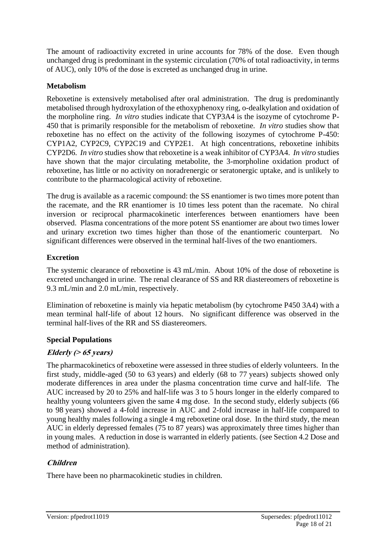The amount of radioactivity excreted in urine accounts for 78% of the dose. Even though unchanged drug is predominant in the systemic circulation (70% of total radioactivity, in terms of AUC), only 10% of the dose is excreted as unchanged drug in urine.

#### **Metabolism**

Reboxetine is extensively metabolised after oral administration. The drug is predominantly metabolised through hydroxylation of the ethoxyphenoxy ring, o-dealkylation and oxidation of the morpholine ring. *In vitro* studies indicate that CYP3A4 is the isozyme of cytochrome P-450 that is primarily responsible for the metabolism of reboxetine. *In vitro* studies show that reboxetine has no effect on the activity of the following isozymes of cytochrome P-450: CYP1A2, CYP2C9, CYP2C19 and CYP2E1. At high concentrations, reboxetine inhibits CYP2D6. *In vitro* studies show that reboxetine is a weak inhibitor of CYP3A4. *In vitro* studies have shown that the major circulating metabolite, the 3-morpholine oxidation product of reboxetine, has little or no activity on noradrenergic or seratonergic uptake, and is unlikely to contribute to the pharmacological activity of reboxetine.

The drug is available as a racemic compound: the SS enantiomer is two times more potent than the racemate, and the RR enantiomer is 10 times less potent than the racemate. No chiral inversion or reciprocal pharmacokinetic interferences between enantiomers have been observed. Plasma concentrations of the more potent SS enantiomer are about two times lower and urinary excretion two times higher than those of the enantiomeric counterpart. No significant differences were observed in the terminal half-lives of the two enantiomers.

#### **Excretion**

The systemic clearance of reboxetine is 43 mL/min. About 10% of the dose of reboxetine is excreted unchanged in urine. The renal clearance of SS and RR diastereomers of reboxetine is 9.3 mL/min and 2.0 mL/min, respectively.

Elimination of reboxetine is mainly via hepatic metabolism (by cytochrome P450 3A4) with a mean terminal half-life of about 12 hours. No significant difference was observed in the terminal half-lives of the RR and SS diastereomers.

#### **Special Populations**

#### **Elderly (> 65 years)**

The pharmacokinetics of reboxetine were assessed in three studies of elderly volunteers. In the first study, middle-aged (50 to 63 years) and elderly (68 to 77 years) subjects showed only moderate differences in area under the plasma concentration time curve and half-life. The AUC increased by 20 to 25% and half-life was 3 to 5 hours longer in the elderly compared to healthy young volunteers given the same 4 mg dose. In the second study, elderly subjects (66 to 98 years) showed a 4-fold increase in AUC and 2-fold increase in half-life compared to young healthy males following a single 4 mg reboxetine oral dose. In the third study, the mean AUC in elderly depressed females (75 to 87 years) was approximately three times higher than in young males. A reduction in dose is warranted in elderly patients. (see Section 4.2 Dose and method of administration).

#### **Children**

There have been no pharmacokinetic studies in children.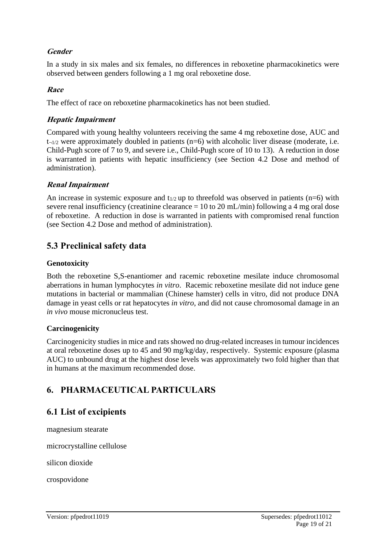#### **Gender**

In a study in six males and six females, no differences in reboxetine pharmacokinetics were observed between genders following a 1 mg oral reboxetine dose.

#### **Race**

The effect of race on reboxetine pharmacokinetics has not been studied.

#### **Hepatic Impairment**

Compared with young healthy volunteers receiving the same 4 mg reboxetine dose, AUC and  $t_{\neg 1/2}$  were approximately doubled in patients (n=6) with alcoholic liver disease (moderate, i.e. Child-Pugh score of 7 to 9, and severe i.e., Child-Pugh score of 10 to 13). A reduction in dose is warranted in patients with hepatic insufficiency (see Section 4.2 Dose and method of administration).

#### **Renal Impairment**

An increase in systemic exposure and  $t_{1/2}$  up to threefold was observed in patients (n=6) with severe renal insufficiency (creatinine clearance  $= 10$  to 20 mL/min) following a 4 mg oral dose of reboxetine. A reduction in dose is warranted in patients with compromised renal function (see Section 4.2 Dose and method of administration).

# **5.3 Preclinical safety data**

#### **Genotoxicity**

Both the reboxetine S,S-enantiomer and racemic reboxetine mesilate induce chromosomal aberrations in human lymphocytes *in vitro*. Racemic reboxetine mesilate did not induce gene mutations in bacterial or mammalian (Chinese hamster) cells in vitro, did not produce DNA damage in yeast cells or rat hepatocytes *in vitro*, and did not cause chromosomal damage in an *in vivo* mouse micronucleus test.

#### **Carcinogenicity**

Carcinogenicity studies in mice and rats showed no drug-related increases in tumour incidences at oral reboxetine doses up to 45 and 90 mg/kg/day, respectively. Systemic exposure (plasma AUC) to unbound drug at the highest dose levels was approximately two fold higher than that in humans at the maximum recommended dose.

# **6. PHARMACEUTICAL PARTICULARS**

### **6.1 List of excipients**

magnesium stearate

microcrystalline cellulose

silicon dioxide

crospovidone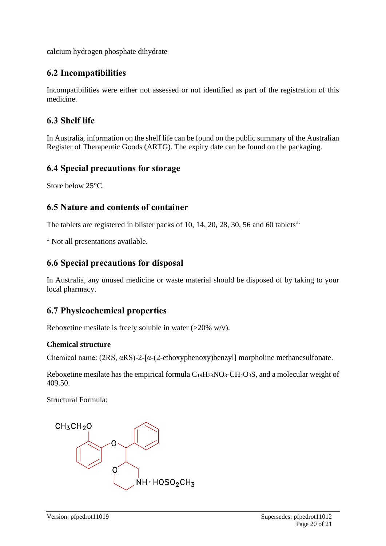calcium hydrogen phosphate dihydrate

### **6.2 Incompatibilities**

Incompatibilities were either not assessed or not identified as part of the registration of this medicine.

### **6.3 Shelf life**

In Australia, information on the shelf life can be found on the public summary of the Australian Register of Therapeutic Goods (ARTG). The expiry date can be found on the packaging.

### **6.4 Special precautions for storage**

Store below 25°C.

### **6.5 Nature and contents of container**

The tablets are registered in blister packs of 10, 14, 20, 28, 30, 56 and 60 tablets $\pm$ .

 $\pm$  Not all presentations available.

# **6.6 Special precautions for disposal**

In Australia, any unused medicine or waste material should be disposed of by taking to your local pharmacy.

# **6.7 Physicochemical properties**

Reboxetine mesilate is freely soluble in water  $(>20\%$  w/v).

#### **Chemical structure**

Chemical name: (2RS, αRS)-2-[α-(2-ethoxyphenoxy)benzyl] morpholine methanesulfonate.

Reboxetine mesilate has the empirical formula  $C_{19}H_{23}NO_3$ -CH<sub>4</sub>O<sub>3</sub>S, and a molecular weight of 409.50.

Structural Formula: